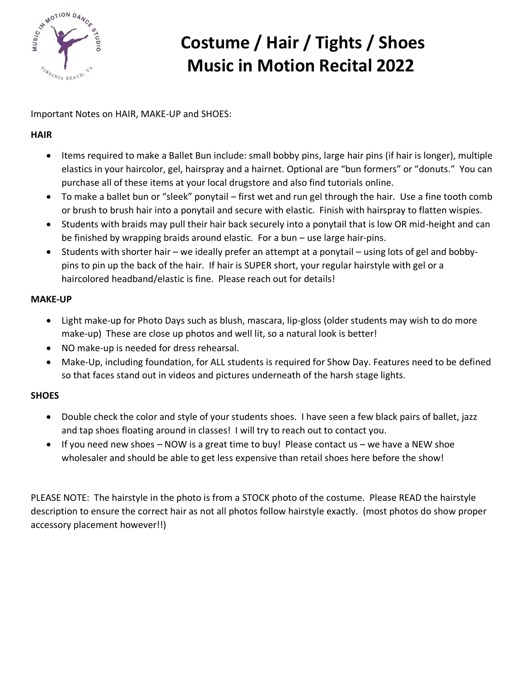

Important Notes on HAIR, MAKE-UP and SHOES:

#### **HAIR**

- Items required to make a Ballet Bun include: small bobby pins, large hair pins (if hair is longer), multiple elastics in your haircolor, gel, hairspray and a hairnet. Optional are "bun formers" or "donuts." You can purchase all of these items at your local drugstore and also find tutorials online.
- To make a ballet bun or "sleek" ponytail first wet and run gel through the hair. Use a fine tooth comb or brush to brush hair into a ponytail and secure with elastic. Finish with hairspray to flatten wispies.
- Students with braids may pull their hair back securely into a ponytail that is low OR mid-height and can be finished by wrapping braids around elastic. For a bun – use large hair-pins.
- Students with shorter hair we ideally prefer an attempt at a ponytail using lots of gel and bobbypins to pin up the back of the hair. If hair is SUPER short, your regular hairstyle with gel or a haircolored headband/elastic is fine. Please reach out for details!

#### **MAKE-UP**

- Light make-up for Photo Days such as blush, mascara, lip-gloss (older students may wish to do more make-up) These are close up photos and well lit, so a natural look is better!
- NO make-up is needed for dress rehearsal.
- Make-Up, including foundation, for ALL students is required for Show Day. Features need to be defined so that faces stand out in videos and pictures underneath of the harsh stage lights.

#### **SHOES**

- Double check the color and style of your students shoes. I have seen a few black pairs of ballet, jazz and tap shoes floating around in classes! I will try to reach out to contact you.
- If you need new shoes NOW is a great time to buy! Please contact us we have a NEW shoe wholesaler and should be able to get less expensive than retail shoes here before the show!

PLEASE NOTE: The hairstyle in the photo is from a STOCK photo of the costume. Please READ the hairstyle description to ensure the correct hair as not all photos follow hairstyle exactly. (most photos do show proper accessory placement however!!)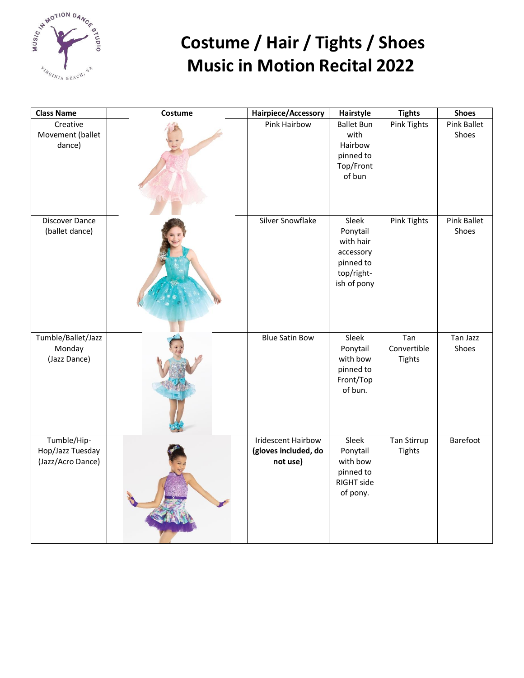

| <b>Class Name</b>                                    | Costume | Hairpiece/Accessory                                           | Hairstyle                                                                             | <b>Tights</b>                       | <b>Shoes</b>                |
|------------------------------------------------------|---------|---------------------------------------------------------------|---------------------------------------------------------------------------------------|-------------------------------------|-----------------------------|
| Creative<br>Movement (ballet<br>dance)               |         | Pink Hairbow                                                  | <b>Ballet Bun</b><br>with<br>Hairbow<br>pinned to<br>Top/Front<br>of bun              | <b>Pink Tights</b>                  | <b>Pink Ballet</b><br>Shoes |
| Discover Dance<br>(ballet dance)                     |         | Silver Snowflake                                              | Sleek<br>Ponytail<br>with hair<br>accessory<br>pinned to<br>top/right-<br>ish of pony | Pink Tights                         | Pink Ballet<br>Shoes        |
| Tumble/Ballet/Jazz<br>Monday<br>(Jazz Dance)         |         | <b>Blue Satin Bow</b>                                         | Sleek<br>Ponytail<br>with bow<br>pinned to<br>Front/Top<br>of bun.                    | Tan<br>Convertible<br><b>Tights</b> | Tan Jazz<br>Shoes           |
| Tumble/Hip-<br>Hop/Jazz Tuesday<br>(Jazz/Acro Dance) |         | <b>Iridescent Hairbow</b><br>(gloves included, do<br>not use) | Sleek<br>Ponytail<br>with bow<br>pinned to<br>RIGHT side<br>of pony.                  | Tan Stirrup<br><b>Tights</b>        | Barefoot                    |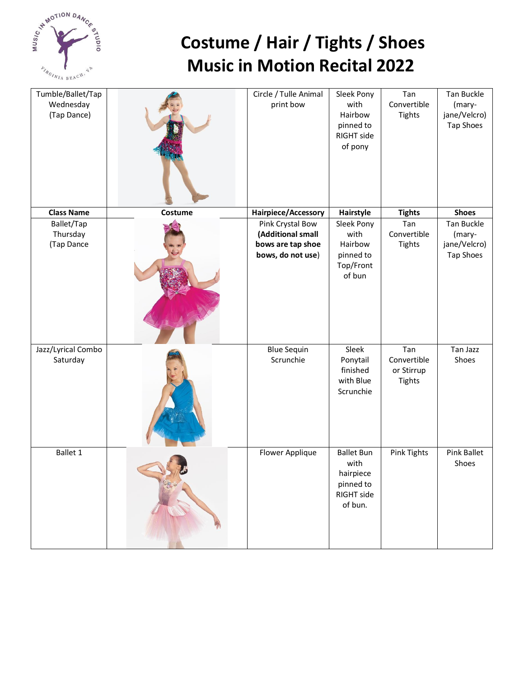

| Tumble/Ballet/Tap<br>Wednesday<br>(Tap Dance) |         | Circle / Tulle Animal<br>print bow                                              | Sleek Pony<br>with<br>Hairbow<br>pinned to<br>RIGHT side<br>of pony          | Tan<br>Convertible<br><b>Tights</b>               | <b>Tan Buckle</b><br>(mary-<br>jane/Velcro)<br>Tap Shoes |
|-----------------------------------------------|---------|---------------------------------------------------------------------------------|------------------------------------------------------------------------------|---------------------------------------------------|----------------------------------------------------------|
| <b>Class Name</b>                             | Costume | Hairpiece/Accessory                                                             | Hairstyle                                                                    | <b>Tights</b>                                     | <b>Shoes</b>                                             |
| Ballet/Tap<br>Thursday<br>(Tap Dance          |         | Pink Crystal Bow<br>(Additional small<br>bows are tap shoe<br>bows, do not use) | Sleek Pony<br>with<br>Hairbow<br>pinned to<br>Top/Front<br>of bun            | Tan<br>Convertible<br><b>Tights</b>               | Tan Buckle<br>(mary-<br>jane/Velcro)<br>Tap Shoes        |
| Jazz/Lyrical Combo<br>Saturday                |         | <b>Blue Sequin</b><br>Scrunchie                                                 | Sleek<br>Ponytail<br>finished<br>with Blue<br>Scrunchie                      | Tan<br>Convertible<br>or Stirrup<br><b>Tights</b> | Tan Jazz<br>Shoes                                        |
| Ballet 1                                      |         | Flower Applique                                                                 | <b>Ballet Bun</b><br>with<br>hairpiece<br>pinned to<br>RIGHT side<br>of bun. | <b>Pink Tights</b>                                | <b>Pink Ballet</b><br>Shoes                              |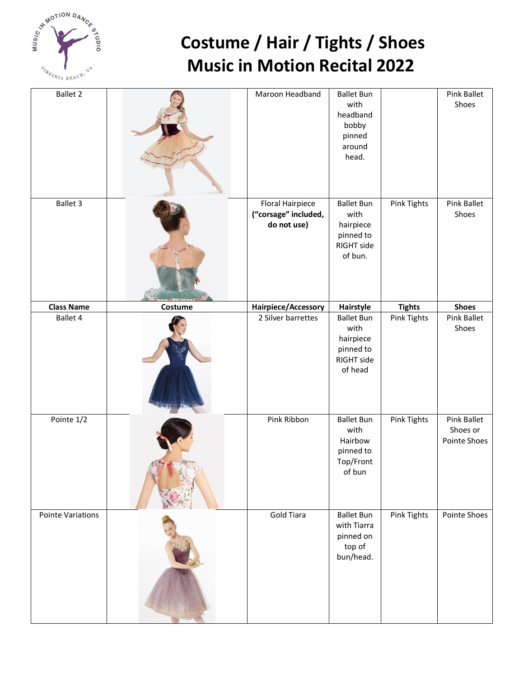

| <b>Ballet 2</b>   |         | Maroon Headband                                                | <b>Ballet Bun</b><br>with<br>headband<br>bobby<br>pinned<br>around<br>head.  |                    | Pink Ballet<br>Shoes                           |
|-------------------|---------|----------------------------------------------------------------|------------------------------------------------------------------------------|--------------------|------------------------------------------------|
| Ballet 3          |         | <b>Floral Hairpiece</b><br>("corsage" included,<br>do not use) | <b>Ballet Bun</b><br>with<br>hairpiece<br>pinned to<br>RIGHT side<br>of bun. | <b>Pink Tights</b> | <b>Pink Ballet</b><br>Shoes                    |
| <b>Class Name</b> | Costume | Hairpiece/Accessory                                            | Hairstyle                                                                    | <b>Tights</b>      | <b>Shoes</b>                                   |
| <b>Ballet 4</b>   |         | 2 Silver barrettes                                             | <b>Ballet Bun</b><br>with<br>hairpiece<br>pinned to<br>RIGHT side<br>of head | <b>Pink Tights</b> | <b>Pink Ballet</b><br>Shoes                    |
| Pointe 1/2        |         | Pink Ribbon                                                    | <b>Ballet Bun</b><br>with<br>Hairbow<br>pinned to<br>Top/Front<br>of bun     | Pink Tights        | <b>Pink Ballet</b><br>Shoes or<br>Pointe Shoes |
| Pointe Variations |         | <b>Gold Tiara</b>                                              | <b>Ballet Bun</b><br>with Tiarra<br>pinned on<br>top of<br>bun/head.         | Pink Tights        | Pointe Shoes                                   |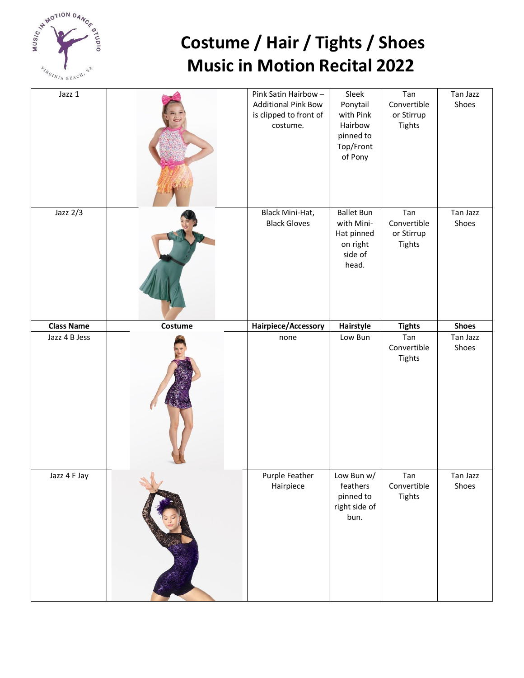

| Jazz 1            |         | Pink Satin Hairbow-<br><b>Additional Pink Bow</b><br>is clipped to front of<br>costume. | Sleek<br>Ponytail<br>with Pink<br>Hairbow<br>pinned to<br>Top/Front<br>of Pony | Tan<br>Convertible<br>or Stirrup<br><b>Tights</b> | Tan Jazz<br>Shoes |
|-------------------|---------|-----------------------------------------------------------------------------------------|--------------------------------------------------------------------------------|---------------------------------------------------|-------------------|
| Jazz $2/3$        |         | Black Mini-Hat,<br><b>Black Gloves</b>                                                  | <b>Ballet Bun</b><br>with Mini-<br>Hat pinned<br>on right<br>side of<br>head.  | Tan<br>Convertible<br>or Stirrup<br><b>Tights</b> | Tan Jazz<br>Shoes |
| <b>Class Name</b> | Costume | Hairpiece/Accessory                                                                     | Hairstyle                                                                      | <b>Tights</b>                                     | <b>Shoes</b>      |
| Jazz 4 B Jess     |         | none                                                                                    | Low Bun                                                                        | Tan<br>Convertible                                | Tan Jazz<br>Shoes |
|                   |         |                                                                                         |                                                                                | <b>Tights</b>                                     |                   |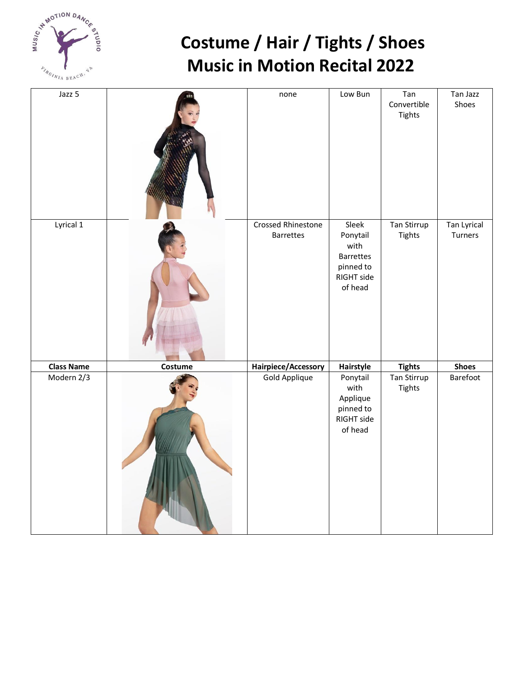

| $\overline{J}$ azz 5 |         | none                                          | Low Bun                                                                             | Tan<br>Convertible<br><b>Tights</b> | Tan Jazz<br>Shoes      |
|----------------------|---------|-----------------------------------------------|-------------------------------------------------------------------------------------|-------------------------------------|------------------------|
| Lyrical 1            |         | <b>Crossed Rhinestone</b><br><b>Barrettes</b> | Sleek<br>Ponytail<br>with<br><b>Barrettes</b><br>pinned to<br>RIGHT side<br>of head | <b>Tan Stirrup</b><br><b>Tights</b> | Tan Lyrical<br>Turners |
| <b>Class Name</b>    | Costume | Hairpiece/Accessory                           | Hairstyle                                                                           | <b>Tights</b>                       | <b>Shoes</b>           |
| Modern 2/3           |         | Gold Applique                                 | Ponytail<br>with<br>Applique<br>pinned to<br>RIGHT side<br>of head                  | Tan Stirrup<br><b>Tights</b>        | Barefoot               |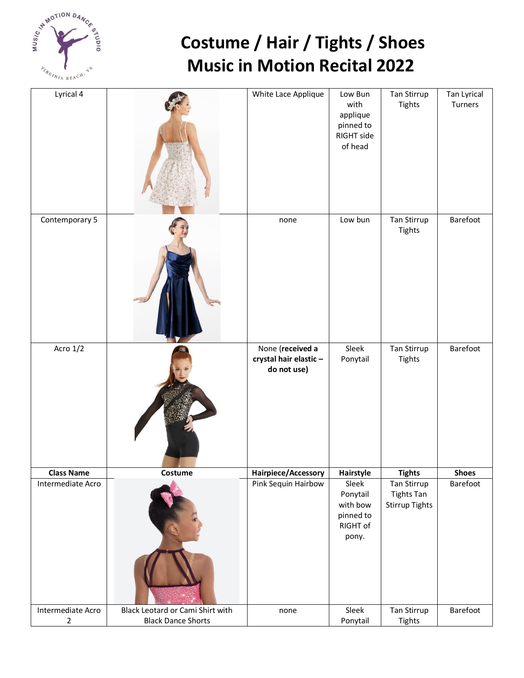

| Lyrical 4                           |                                                               | White Lace Applique                                      | Low Bun<br>with<br>applique<br>pinned to<br>RIGHT side<br>of head | Tan Stirrup<br><b>Tights</b>                       | Tan Lyrical<br>Turners |
|-------------------------------------|---------------------------------------------------------------|----------------------------------------------------------|-------------------------------------------------------------------|----------------------------------------------------|------------------------|
| Contemporary 5                      |                                                               | none                                                     | Low bun                                                           | Tan Stirrup<br><b>Tights</b>                       | Barefoot               |
| Acro $1/\overline{2}$               |                                                               | None (received a<br>crystal hair elastic-<br>do not use) | Sleek<br>Ponytail                                                 | Tan Stirrup<br><b>Tights</b>                       | Barefoot               |
| <b>Class Name</b>                   | Costume                                                       | Hairpiece/Accessory                                      | Hairstyle                                                         | <b>Tights</b>                                      | <b>Shoes</b>           |
| Intermediate Acro                   |                                                               | Pink Sequin Hairbow                                      | Sleek<br>Ponytail<br>with bow<br>pinned to<br>RIGHT of<br>pony.   | Tan Stirrup<br><b>Tights Tan</b><br>Stirrup Tights | Barefoot               |
| Intermediate Acro<br>$\overline{2}$ | Black Leotard or Cami Shirt with<br><b>Black Dance Shorts</b> | none                                                     | Sleek<br>Ponytail                                                 | Tan Stirrup<br><b>Tights</b>                       | Barefoot               |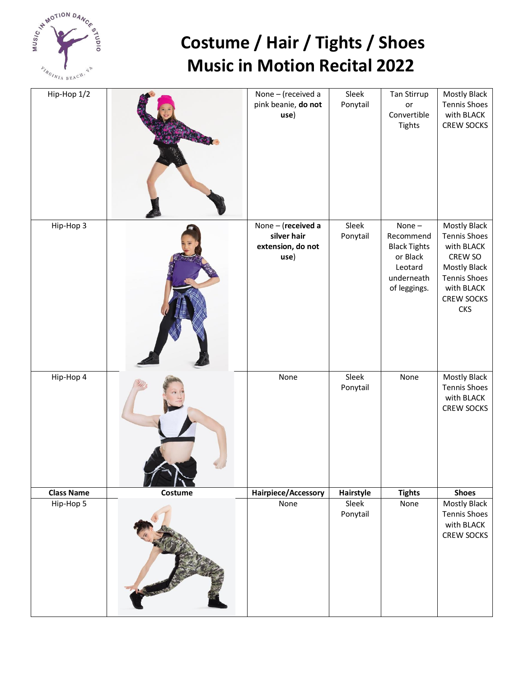

| Hip-Hop 1/2       |         | None - (received a<br>pink beanie, do not<br>use)              | Sleek<br>Ponytail | Tan Stirrup<br>or<br>Convertible<br><b>Tights</b>                                                 | Mostly Black<br><b>Tennis Shoes</b><br>with BLACK<br><b>CREW SOCKS</b>                                                                                      |
|-------------------|---------|----------------------------------------------------------------|-------------------|---------------------------------------------------------------------------------------------------|-------------------------------------------------------------------------------------------------------------------------------------------------------------|
| Hip-Hop 3         |         | None - (received a<br>silver hair<br>extension, do not<br>use) | Sleek<br>Ponytail | None $-$<br>Recommend<br><b>Black Tights</b><br>or Black<br>Leotard<br>underneath<br>of leggings. | Mostly Black<br><b>Tennis Shoes</b><br>with BLACK<br>CREW SO<br><b>Mostly Black</b><br><b>Tennis Shoes</b><br>with BLACK<br><b>CREW SOCKS</b><br><b>CKS</b> |
| Hip-Hop 4         |         | None                                                           | Sleek<br>Ponytail | None                                                                                              | <b>Mostly Black</b><br><b>Tennis Shoes</b><br>with BLACK<br><b>CREW SOCKS</b>                                                                               |
| <b>Class Name</b> | Costume | Hairpiece/Accessory                                            | Hairstyle         | <b>Tights</b>                                                                                     | <b>Shoes</b>                                                                                                                                                |
| Hip-Hop 5         |         | None                                                           | Sleek<br>Ponytail | None                                                                                              | Mostly Black<br><b>Tennis Shoes</b><br>with BLACK<br>CREW SOCKS                                                                                             |